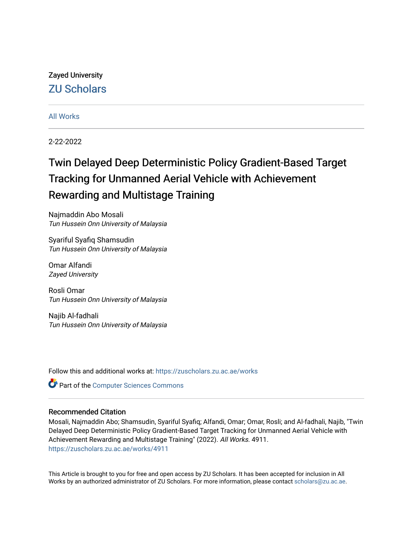# Zayed University [ZU Scholars](https://zuscholars.zu.ac.ae/)

# [All Works](https://zuscholars.zu.ac.ae/works)

2-22-2022

# Twin Delayed Deep Deterministic Policy Gradient-Based Target Tracking for Unmanned Aerial Vehicle with Achievement Rewarding and Multistage Training

Najmaddin Abo Mosali Tun Hussein Onn University of Malaysia

Syariful Syafiq Shamsudin Tun Hussein Onn University of Malaysia

Omar Alfandi Zayed University

Rosli Omar Tun Hussein Onn University of Malaysia

Najib Al-fadhali Tun Hussein Onn University of Malaysia

Follow this and additional works at: [https://zuscholars.zu.ac.ae/works](https://zuscholars.zu.ac.ae/works?utm_source=zuscholars.zu.ac.ae%2Fworks%2F4911&utm_medium=PDF&utm_campaign=PDFCoverPages)

Part of the [Computer Sciences Commons](http://network.bepress.com/hgg/discipline/142?utm_source=zuscholars.zu.ac.ae%2Fworks%2F4911&utm_medium=PDF&utm_campaign=PDFCoverPages)

# Recommended Citation

Mosali, Najmaddin Abo; Shamsudin, Syariful Syafiq; Alfandi, Omar; Omar, Rosli; and Al-fadhali, Najib, "Twin Delayed Deep Deterministic Policy Gradient-Based Target Tracking for Unmanned Aerial Vehicle with Achievement Rewarding and Multistage Training" (2022). All Works. 4911. [https://zuscholars.zu.ac.ae/works/4911](https://zuscholars.zu.ac.ae/works/4911?utm_source=zuscholars.zu.ac.ae%2Fworks%2F4911&utm_medium=PDF&utm_campaign=PDFCoverPages)

This Article is brought to you for free and open access by ZU Scholars. It has been accepted for inclusion in All Works by an authorized administrator of ZU Scholars. For more information, please contact [scholars@zu.ac.ae](mailto:scholars@zu.ac.ae).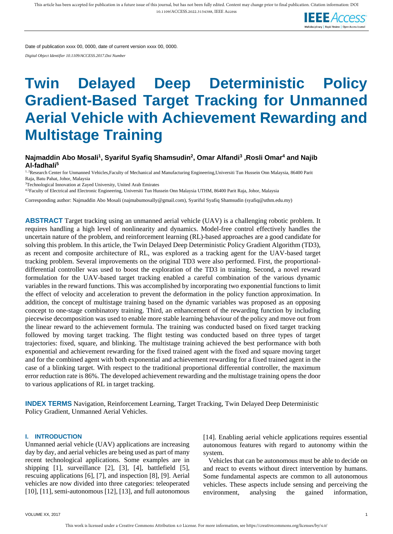

Date of publication xxxx 00, 0000, date of current version xxxx 00, 0000.

*Digital Object Identifier 10.1109/ACCESS.2017.Doi Number*

# **Twin Delayed Deep Deterministic Policy Gradient-Based Target Tracking for Unmanned Aerial Vehicle with Achievement Rewarding and Multistage Training**

# **Najmaddin Abo Mosali<sup>1</sup> , Syariful Syafiq Shamsudin<sup>2</sup> , Omar Alfandi<sup>3</sup> ,Rosli Omar<sup>4</sup> and Najib Al-fadhali<sup>5</sup>**

<sup>1, 2</sup>Research Center for Unmanned Vehicles,Faculty of Mechanical and Manufacturing Engineering,Universiti Tun Hussein Onn Malaysia, 86400 Parit Raja, Batu Pahat, Johor, Malaysia

<sup>3</sup>Technological Innovation at Zayed University, United Arab Emirates

4,5Faculty of Electrical and Electronic Engineering, Universiti Tun Hussein Onn Malaysia UTHM, 86400 Parit Raja, Johor, Malaysia

Corresponding author: Najmaddin Abo Mosali (najmabumosally@gmail.com), Syariful Syafiq Shamsudin (syafiq@uthm.edu.my)

**ABSTRACT** Target tracking using an unmanned aerial vehicle (UAV) is a challenging robotic problem. It requires handling a high level of nonlinearity and dynamics. Model-free control effectively handles the uncertain nature of the problem, and reinforcement learning (RL)-based approaches are a good candidate for solving this problem. In this article, the Twin Delayed Deep Deterministic Policy Gradient Algorithm (TD3), as recent and composite architecture of RL, was explored as a tracking agent for the UAV-based target tracking problem. Several improvements on the original TD3 were also performed. First, the proportionaldifferential controller was used to boost the exploration of the TD3 in training. Second, a novel reward formulation for the UAV-based target tracking enabled a careful combination of the various dynamic variables in the reward functions. This was accomplished by incorporating two exponential functions to limit the effect of velocity and acceleration to prevent the deformation in the policy function approximation. In addition, the concept of multistage training based on the dynamic variables was proposed as an opposing concept to one-stage combinatory training. Third, an enhancement of the rewarding function by including piecewise decomposition was used to enable more stable learning behaviour of the policy and move out from the linear reward to the achievement formula. The training was conducted based on fixed target tracking followed by moving target tracking. The flight testing was conducted based on three types of target trajectories: fixed, square, and blinking. The multistage training achieved the best performance with both exponential and achievement rewarding for the fixed trained agent with the fixed and square moving target and for the combined agent with both exponential and achievement rewarding for a fixed trained agent in the case of a blinking target. With respect to the traditional proportional differential controller, the maximum error reduction rate is 86%. The developed achievement rewarding and the multistage training opens the door to various applications of RL in target tracking.

**INDEX TERMS** Navigation, Reinforcement Learning, Target Tracking, Twin Delayed Deep Deterministic Policy Gradient, Unmanned Aerial Vehicles.

#### **I. INTRODUCTION**

Unmanned aerial vehicle (UAV) applications are increasing day by day, and aerial vehicles are being used as part of many recent technological applications. Some examples are in shipping [1], surveillance [2], [3], [4], battlefield [5], rescuing applications [6], [7], and inspection [8], [9]. Aerial vehicles are now divided into three categories: teleoperated [10], [11], semi-autonomous [12], [13], and full autonomous [14]. Enabling aerial vehicle applications requires essential autonomous features with regard to autonomy within the system.

Vehicles that can be autonomous must be able to decide on and react to events without direct intervention by humans. Some fundamental aspects are common to all autonomous vehicles. These aspects include sensing and perceiving the environment, analysing the gained information,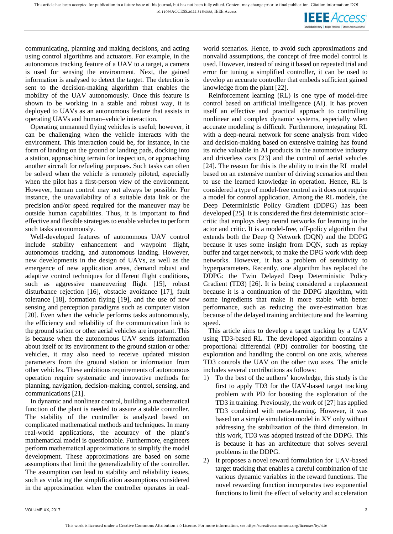**IEEE** Access

communicating, planning and making decisions, and acting using control algorithms and actuators. For example, in the autonomous tracking feature of a UAV to a target, a camera is used for sensing the environment. Next, the gained information is analysed to detect the target. The detection is sent to the decision-making algorithm that enables the mobility of the UAV autonomously. Once this feature is shown to be working in a stable and robust way, it is deployed to UAVs as an autonomous feature that assists in operating UAVs and human–vehicle interaction.

Operating unmanned flying vehicles is useful; however, it can be challenging when the vehicle interacts with the environment. This interaction could be, for instance, in the form of landing on the ground or landing pads, docking into a station, approaching terrain for inspection, or approaching another aircraft for refueling purposes. Such tasks can often be solved when the vehicle is remotely piloted, especially when the pilot has a first-person view of the environment. However, human control may not always be possible. For instance, the unavailability of a suitable data link or the precision and/or speed required for the maneuver may be outside human capabilities. Thus, it is important to find effective and flexible strategies to enable vehicles to perform such tasks autonomously.

Well-developed features of autonomous UAV control include stability enhancement and waypoint flight, autonomous tracking, and autonomous landing. However, new developments in the design of UAVs, as well as the emergence of new application areas, demand robust and adaptive control techniques for different flight conditions, such as aggressive maneuvering flight [15], robust disturbance rejection [16], obstacle avoidance [17], fault tolerance [18], formation flying [19], and the use of new sensing and perception paradigms such as computer vision [20]. Even when the vehicle performs tasks autonomously, the efficiency and reliability of the communication link to the ground station or other aerial vehicles are important. This is because when the autonomous UAV sends information about itself or its environment to the ground station or other vehicles, it may also need to receive updated mission parameters from the ground station or information from other vehicles. These ambitious requirements of autonomous operation require systematic and innovative methods for planning, navigation, decision-making, control, sensing, and communications [21].

In dynamic and nonlinear control, building a mathematical function of the plant is needed to assure a stable controller. The stability of the controller is analyzed based on complicated mathematical methods and techniques. In many real-world applications, the accuracy of the plant's mathematical model is questionable. Furthermore, engineers perform mathematical approximations to simplify the model development. These approximations are based on some assumptions that limit the generalizability of the controller. The assumption can lead to stability and reliability issues, such as violating the simplification assumptions considered in the approximation when the controller operates in realworld scenarios. Hence, to avoid such approximations and nonvalid assumptions, the concept of free model control is used. However, instead of using it based on repeated trial and error for tuning a simplified controller, it can be used to develop an accurate controller that embeds sufficient gained knowledge from the plant [22].

Reinforcement learning (RL) is one type of model-free control based on artificial intelligence (AI). It has proven itself an effective and practical approach to controlling nonlinear and complex dynamic systems, especially when accurate modeling is difficult. Furthermore, integrating RL with a deep-neural network for scene analysis from video and decision-making based on extensive training has found its niche valuable in AI products in the automotive industry and driverless cars [23] and the control of aerial vehicles [24]. The reason for this is the ability to train the RL model based on an extensive number of driving scenarios and then to use the learned knowledge in operation. Hence, RL is considered a type of model-free control as it does not require a model for control application. Among the RL models, the Deep Deterministic Policy Gradient (DDPG) has been developed [25]. It is considered the first deterministic actor– critic that employs deep neural networks for learning in the actor and critic. It is a model-free, off-policy algorithm that extends both the Deep Q Network (DQN) and the DDPG because it uses some insight from DQN, such as replay buffer and target network, to make the DPG work with deep networks. However, it has a problem of sensitivity to hyperparameters. Recently, one algorithm has replaced the DDPG: the Twin Delayed Deep Deterministic Policy Gradient (TD3) [26]. It is being considered a replacement because it is a continuation of the DDPG algorithm, with some ingredients that make it more stable with better performance, such as reducing the over-estimation bias because of the delayed training architecture and the learning speed.

This article aims to develop a target tracking by a UAV using TD3-based RL. The developed algorithm contains a proportional differential (PD) controller for boosting the exploration and handling the control on one axis, whereas TD3 controls the UAV on the other two axes. The article includes several contributions as follows:

- 1) To the best of the authors' knowledge, this study is the first to apply TD3 for the UAV-based target tracking problem with PD for boosting the exploration of the TD3 in training. Previously, the work of [27] has applied TD3 combined with meta-learning. However, it was based on a simple simulation model in XY only without addressing the stabilization of the third dimension. In this work, TD3 was adopted instead of the DDPG. This is because it has an architecture that solves several problems in the DDPG.
- 2) It proposes a novel reward formulation for UAV-based target tracking that enables a careful combination of the various dynamic variables in the reward functions. The novel rewarding function incorporates two exponential functions to limit the effect of velocity and acceleration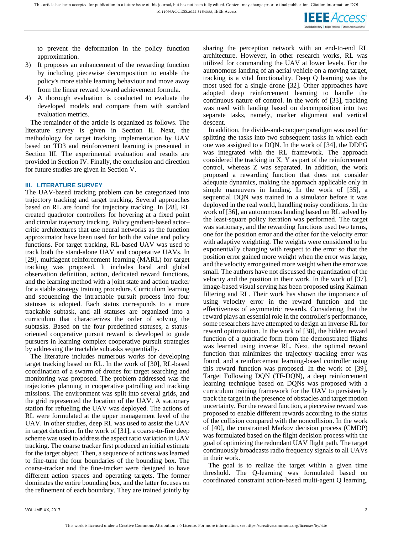**IEEE** Access

to prevent the deformation in the policy function approximation.

- 3) It proposes an enhancement of the rewarding function by including piecewise decomposition to enable the policy's more stable learning behaviour and move away from the linear reward toward achievement formula.
- 4) A thorough evaluation is conducted to evaluate the developed models and compare them with standard evaluation metrics.

The remainder of the article is organized as follows. The literature survey is given in Section II. Next, the methodology for target tracking implementation by UAV based on TD3 and reinforcement learning is presented in Section III. The experimental evaluation and results are provided in Section IV. Finally, the conclusion and direction for future studies are given in Section V.

#### **III. LITERATURE SURVEY**

The UAV-based tracking problem can be categorized into trajectory tracking and target tracking. Several approaches based on RL are found for trajectory tracking. In [28], RL created quadrotor controllers for hovering at a fixed point and circular trajectory tracking. Policy gradient-based actor– critic architectures that use neural networks as the function approximator have been used for both the value and policy functions. For target tracking, RL-based UAV was used to track both the stand-alone UAV and cooperative UAVs. In [29], multiagent reinforcement learning (MARL) for target tracking was proposed. It includes local and global observation definition, action, dedicated reward functions, and the learning method with a joint state and action tracker for a stable strategy training procedure. Curriculum learning and sequencing the intractable pursuit process into four statuses is adopted. Each status corresponds to a more trackable subtask, and all statuses are organized into a curriculum that characterizes the order of solving the subtasks. Based on the four predefined statuses, a statusoriented cooperative pursuit reward is developed to guide pursuers in learning complex cooperative pursuit strategies by addressing the tractable subtasks sequentially.

The literature includes numerous works for developing target tracking based on RL. In the work of [30], RL-based coordination of a swarm of drones for target searching and monitoring was proposed. The problem addressed was the trajectories planning in cooperative patrolling and tracking missions. The environment was split into several grids, and the grid represented the location of the UAV. A stationary station for refueling the UAV was deployed. The actions of RL were formulated at the upper management level of the UAV. In other studies, deep RL was used to assist the UAV in target detection. In the work of [31], a coarse-to-fine deep scheme was used to address the aspect ratio variation in UAV tracking. The coarse tracker first produced an initial estimate for the target object. Then, a sequence of actions was learned to fine-tune the four boundaries of the bounding box. The coarse-tracker and the fine-tracker were designed to have different action spaces and operating targets. The former dominates the entire bounding box, and the latter focuses on the refinement of each boundary. They are trained jointly by sharing the perception network with an end-to-end RL architecture. However, in other research works, RL was utilized for commanding the UAV at lower levels. For the autonomous landing of an aerial vehicle on a moving target, tracking is a vital functionality. Deep Q learning was the most used for a single drone [32]. Other approaches have adopted deep reinforcement learning to handle the continuous nature of control. In the work of [33], tracking was used with landing based on decomposition into two separate tasks, namely, marker alignment and vertical descent.

In addition, the divide-and-conquer paradigm was used for splitting the tasks into two subsequent tasks in which each one was assigned to a DQN. In the work of [34], the DDPG was integrated with the RL framework. The approach considered the tracking in X, Y as part of the reinforcement control, whereas Z was separated. In addition, the work proposed a rewarding function that does not consider adequate dynamics, making the approach applicable only in simple maneuvers in landing. In the work of [35], a sequential DQN was trained in a simulator before it was deployed in the real world, handling noisy conditions. In the work of [36], an autonomous landing based on RL solved by the least-square policy iteration was performed. The target was stationary, and the rewarding functions used two terms, one for the position error and the other for the velocity error with adaptive weighting. The weights were considered to be exponentially changing with respect to the error so that the position error gained more weight when the error was large, and the velocity error gained more weight when the error was small. The authors have not discussed the quantization of the velocity and the position in their work. In the work of [37], image-based visual serving has been proposed using Kalman filtering and RL. Their work has shown the importance of using velocity error in the reward function and the effectiveness of asymmetric rewards. Considering that the reward plays an essential role in the controller's performance, some researchers have attempted to design an inverse RL for reward optimization. In the work of [38], the hidden reward function of a quadratic form from the demonstrated flights was learned using inverse RL. Next, the optimal reward function that minimizes the trajectory tracking error was found, and a reinforcement learning-based controller using this reward function was proposed. In the work of [39], Target Following DQN (TF-DQN), a deep reinforcement learning technique based on DQNs was proposed with a curriculum training framework for the UAV to persistently track the target in the presence of obstacles and target motion uncertainty. For the reward function, a piecewise reward was proposed to enable different rewards according to the status of the collision compared with the noncollision. In the work of [40], the constrained Markov decision process (CMDP) was formulated based on the flight decision process with the goal of optimizing the redundant UAV flight path. The target continuously broadcasts radio frequency signals to all UAVs in their work.

The goal is to realize the target within a given time threshold. The Q-learning was formulated based on coordinated constraint action-based multi-agent Q learning.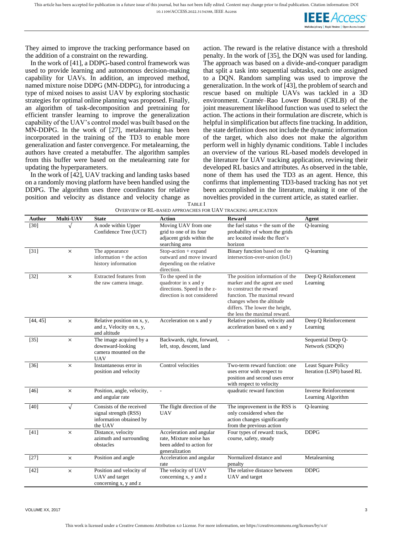**IEEE** Access ultidisciplinary : Rapid Review : Open Access Journ

They aimed to improve the tracking performance based on the addition of a constraint on the rewarding.

In the work of [41], a DDPG-based control framework was used to provide learning and autonomous decision-making capability for UAVs. In addition, an improved method, named mixture noise DDPG (MN-DDPG), for introducing a type of mixed noises to assist UAV by exploring stochastic strategies for optimal online planning was proposed. Finally, an algorithm of task-decomposition and pretraining for efficient transfer learning to improve the generalization capability of the UAV's control model was built based on the MN-DDPG. In the work of [27], metalearning has been incorporated in the training of the TD3 to enable more generalization and faster convergence. For metalearning, the authors have created a metabuffer. The algorithm samples from this buffer were based on the metalearning rate for updating the hyperparameters.

In the work of [42], UAV tracking and landing tasks based on a randomly moving platform have been handled using the DDPG. The algorithm uses three coordinates for relative position and velocity as distance and velocity change as action. The reward is the relative distance with a threshold penalty. In the work of [35], the DQN was used for landing. The approach was based on a divide-and-conquer paradigm that split a task into sequential subtasks, each one assigned to a DQN. Random sampling was used to improve the generalization. In the work of [43], the problem of search and rescue based on multiple UAVs was tackled in a 3D environment. Cramér–Rao Lower Bound (CRLB) of the joint measurement likelihood function was used to select the action. The actions in their formulation are discrete, which is helpful in simplification but affects fine tracking. In addition, the state definition does not include the dynamic information of the target, which also does not make the algorithm perform well in highly dynamic conditions. Table I includes an overview of the various RL-based models developed in the literature for UAV tracking application, reviewing their developed RL basics and attributes. As observed in the table, none of them has used the TD3 as an agent. Hence, this confirms that implementing TD3-based tracking has not yet been accomplished in the literature, making it one of the novelties provided in the current article, as stated earlier.

| Author   | Multi-UAV  | <b>State</b>                                                                            | <b>Action</b>                                                                                             | <b>Reward</b>                                                                                                                                                                                                              | Agent                                                   |
|----------|------------|-----------------------------------------------------------------------------------------|-----------------------------------------------------------------------------------------------------------|----------------------------------------------------------------------------------------------------------------------------------------------------------------------------------------------------------------------------|---------------------------------------------------------|
| $[30]$   |            | A node within Upper<br>Confidence Tree (UCT)                                            | Moving UAV from one<br>grid to one of its four<br>adjacent grids within the<br>searching area             | the fuel status + the sum of the<br>probability of whom the grids<br>are located inside the fleet's<br>horizon                                                                                                             | Q-learning                                              |
| $[31]$   | $\times$   | The appearance<br>information + the action<br>history information                       | Stop-action + expand<br>outward and move inward<br>depending on the relative<br>direction.                | Binary function based on the<br>intersection-over-union (IoU)                                                                                                                                                              | Q-learning                                              |
| [32]     | $\times$   | Extracted features from<br>the raw camera image.                                        | To the speed in the<br>quadrotor in x and y<br>directions. Speed in the z-<br>direction is not considered | The position information of the<br>marker and the agent are used<br>to construct the reward<br>function. The maximal reward<br>changes when the altitude<br>differs. The lower the height,<br>the less the maximal reward. | Deep Q Reinforcement<br>Learning                        |
| [44, 45] | $\times$   | Relative position on x, y,<br>and z, Velocity on x, y,<br>and altitude                  | Acceleration on x and y                                                                                   | Relative position, velocity and<br>acceleration based on x and y                                                                                                                                                           | Deep Q Reinforcement<br>Learning                        |
| [35]     | $\times$   | The image acquired by a<br>downward-looking<br>camera mounted on the<br><b>UAV</b>      | Backwards, right, forward,<br>left, stop, descent, land                                                   |                                                                                                                                                                                                                            | Sequential Deep Q-<br>Network (SDQN)                    |
| [36]     | $\times$   | Instantaneous error in<br>position and velocity                                         | Control velocities                                                                                        | Two-term reward function: one<br>uses error with respect to<br>position and second uses error<br>with respect to velocity                                                                                                  | <b>Least Square Policy</b><br>Iteration (LSPI) based RL |
| $[46]$   | $\times$   | Position, angle, velocity,<br>and angular rate                                          | $\overline{\phantom{a}}$                                                                                  | quadratic reward function                                                                                                                                                                                                  | <b>Inverse Reinforcement</b><br>Learning Algorithm      |
| $[40]$   | $\sqrt{ }$ | Consists of the received<br>signal strength (RSS)<br>information obtained by<br>the UAV | The flight direction of the<br><b>UAV</b>                                                                 | The improvement in the RSS is<br>only considered when the<br>action changes significantly<br>from the previous action                                                                                                      | Q-learning                                              |
| $[41]$   | $\times$   | Distance, velocity<br>azimuth and surrounding<br>obstacles                              | Acceleration and angular<br>rate. Mixture noise has<br>been added to action for<br>generalization         | Four types of reward: track,<br>course, safety, steady                                                                                                                                                                     | <b>DDPG</b>                                             |
| $[27]$   | $\times$   | Position and angle                                                                      | Acceleration and angular<br>rate                                                                          | Normalized distance and<br>penalty                                                                                                                                                                                         | Metalearning                                            |
| $[42]$   | X          | Position and velocity of<br>UAV and target<br>concerning x, y and z                     | The velocity of UAV<br>concerning x, y and z                                                              | The relative distance between<br>UAV and target                                                                                                                                                                            | <b>DDPG</b>                                             |

TABLE I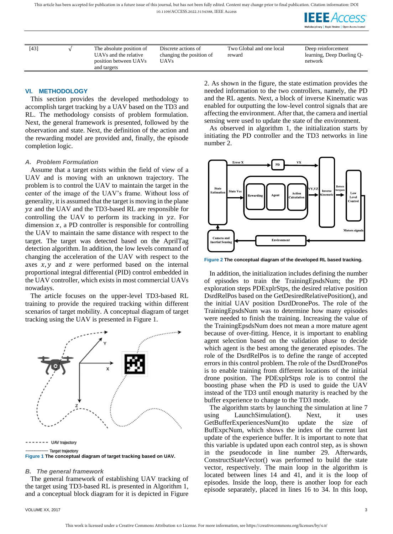This article has been accepted for publication in a future issue of this journal, but has not been fully edited. Content may change prior to final publication. Citation information: DOI

10.1109/ACCESS.2022.3154388, IEEE Access



| [43] | The absolute position of                                      | Discrete actions of                     | Two Global and one local | Deep reinforcement                   |
|------|---------------------------------------------------------------|-----------------------------------------|--------------------------|--------------------------------------|
|      | UAVs and the relative<br>position between UAVs<br>and targets | changing the position of<br><b>UAVs</b> | reward                   | learning, Deep Dueling Q-<br>network |
|      |                                                               |                                         |                          |                                      |

#### **VI. METHODOLOGY**

This section provides the developed methodology to accomplish target tracking by a UAV based on the TD3 and RL. The methodology consists of problem formulation. Next, the general framework is presented, followed by the observation and state. Next, the definition of the action and the rewarding model are provided and, finally, the episode completion logic.

#### *A. Problem Formulation*

Assume that a target exists within the field of view of a UAV and is moving with an unknown trajectory. The problem is to control the UAV to maintain the target in the center of the image of the UAV's frame. Without loss of generality, it is assumed that the target is moving in the plane and the UAV and the TD3-based RL are responsible for controlling the UAV to perform its tracking in yz. For dimension  $x$ , a PD controller is responsible for controlling the UAV to maintain the same distance with respect to the target. The target was detected based on the AprilTag detection algorithm. In addition, the low levels command of changing the acceleration of the UAV with respect to the axes  $x, y$  and z were performed based on the internal proportional integral differential (PID) control embedded in the UAV controller, which exists in most commercial UAVs nowadays.

The article focuses on the upper-level TD3-based RL training to provide the required tracking within different scenarios of target mobility. A conceptual diagram of target tracking using the UAV is presented in Figure 1.



 $------$  UAV trajectory ...... Target trajectory **Figure 1 The conceptual diagram of target tracking based on UAV.**

#### *B. The general framework*

The general framework of establishing UAV tracking of the target using TD3-based RL is presented in Algorithm 1, and a conceptual block diagram for it is depicted in Figure

2. As shown in the figure, the state estimation provides the needed information to the two controllers, namely, the PD and the RL agents. Next, a block of inverse Kinematic was enabled for outputting the low-level control signals that are affecting the environment. After that, the camera and inertial sensing were used to update the state of the environment.

As observed in algorithm 1, the initialization starts by initiating the PD controller and the TD3 networks in line number 2.



**Figure 2 The conceptual diagram of the developed RL based tracking.**

In addition, the initialization includes defining the number of episodes to train the TrainingEpsdsNum; the PD exploration steps PDExplrStps, the desired relative position DsrdRelPos based on the GetDesiredRelativePosition(), and the initial UAV position DsrdDronePos. The role of the TrainingEpsdsNum was to determine how many episodes were needed to finish the training. Increasing the value of the TrainingEpsdsNum does not mean a more mature agent because of over-fitting. Hence, it is important to enabling agent selection based on the validation phase to decide which agent is the best among the generated episodes. The role of the DsrdRelPos is to define the range of accepted errors in this control problem. The role of the DsrdDronePos is to enable training from different locations of the initial drone position. The PDExplrStps role is to control the boosting phase when the PD is used to guide the UAV instead of the TD3 until enough maturity is reached by the buffer experience to change to the TD3 mode.

The algorithm starts by launching the simulation at line 7 using LaunchSimulation(). Next, it uses GetBufferExperiencesNum()to update the size of BufExpcNum, which shows the index of the current last update of the experience buffer. It is important to note that this variable is updated upon each control step, as is shown in the pseudocode in line number 29. Afterwards, ConstructStateVector() was performed to build the state vector, respectively. The main loop in the algorithm is located between lines 14 and 41, and it is the loop of episodes. Inside the loop, there is another loop for each episode separately, placed in lines 16 to 34. In this loop,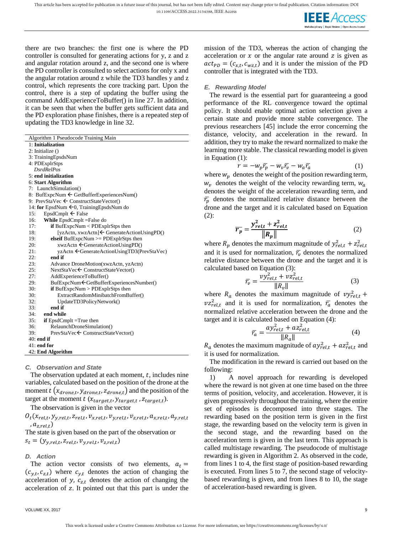

there are two branches: the first one is where the PD controller is consulted for generating actions for y, z and z and angular rotation around z, and the second one is where the PD controller is consulted to select actions for only x and the angular rotation around z while the TD3 handles y and z control, which represents the core tracking part. Upon the control, there is a step of updating the buffer using the command AddExperienceToBuffer() in line 27. In addition, it can be seen that when the buffer gets sufficient data and the PD exploration phase finishes, there is a repeated step of updating the TD3 knowledge in line 32.

Algorithm 1 Pseudocode Training Main

1: **Initialization**

2: Initialize ()

3: TrainingEpsdsNum

4: PDExplrStps

 *DsrdRelPos*

```
5: end initialization
6: Start Algorithm
```
7: LaunchSimulation() 8: BufExpcNum < GetBufferExperiencesNum() 9: PrevStaVec  $\leftarrow$  ConstructStateVector() 14: **for** EpsdNum **←**0, TrainingEpsdsNum do 15: EpsdCmplt  $\leftarrow$  False 16: **While** EpsdCmplt =False do 17: **if** BufExpcNum < PDExplrStps then 18: [yzActn, xwzActn]  $\epsilon$  GenerateActionUsingPD()<br>19: **elseif** BufExpcNum >= PDExplrStps then 19: **elseif** BufExpcNum >= PDExplrStps then 20: xwzActn ← GenerateActionUsingPD() 21: yzActn ← GenerateActionUsingTD3(PrevStaVec) 22: **end if**<br>23: **Advan** 23: Advance DroneMotion(xwzActn, yzActn) 25: NextStaVec ← ConstructStateVector() 27: AddExperienceToBuffer() 29: BufExpcNum GetBufferExperiencesNumber() 30: **if** BufExpcNum > PDExplrStps then 30: ExtractRandomMinibatchFromBuffer() 32: UpdateTD3PolicyNetwork()<br>33: **end if** 33: **end if** 34: **end while** 35: **if** EpsdCmplt =True then 36: RelaunchDroneSimulation() 39: PrevStaVec ← ConstructStateVector() 40: **end if** 41: **end for** 42: **End Algorithm**

# *C. Observation and State*

The observation updated at each moment,  $t$ , includes nine variables, calculated based on the position of the drone at the moment  $t(x_{drone,t}, y_{drone,t}, z_{drone,t})$  and the position of the target at the moment  $t$  ( $x_{target,t}$ ,  $y_{target,t}$ ,  $z_{target,t}$ ).

The observation is given in the vector

 $O_t(x_{rel,t}, y_{y,rel,t}, z_{rel,t}, v_{x,rel,t}, v_{y,rel,t}, v_{z,rel,t}, a_{x,rel,t}, a_{y,rel,t}$ ,  $a_{z,rel,t}$ )

The state is given based on the part of the observation or  $s_t = (y_{y, rel, t}, z_{rel, t}, v_{y, rel, t}, v_{z, rel, t})$ 

# *D. Action*

The action vector consists of two elements,  $a_t =$  $(c_{y,t}, c_{z,t})$  where  $c_{y,t}$  denotes the action of changing the acceleration of y,  $c_{z,t}$  denotes the action of changing the acceleration of z. It pointed out that this part is under the

#### *E. Rewarding Model*

The reward is the essential part for guaranteeing a good performance of the RL convergence toward the optimal policy. It should enable optimal action selection given a certain state and provide more stable convergence. The previous researchers [45] include the error concerning the distance, velocity, and acceleration in the reward. In addition, they try to make the reward normalized to make the learning more stable. The classical rewarding model is given in Equation (1):

$$
r = -w_p \overline{r_p} - w_v \overline{r_v} - w_a \overline{r_a} \tag{1}
$$

where  $w_p$  denotes the weight of the position rewarding term,  $w<sub>v</sub>$  denotes the weight of the velocity rewarding term,  $w<sub>a</sub>$ denotes the weight of the acceleration rewarding term, and  $\bar{r}_p$  denotes the normalized relative distance between the drone and the target and it is calculated based on Equation (2):

$$
\overline{r_p} = \frac{y_{rel,t}^2 + z_{rel,t}^2}{\|R_p\|} \tag{2}
$$

where  $R_p$  denotes the maximum magnitude of  $y_{rel,t}^2 + z_{rel,t}^2$ and it is used for normalization,  $\bar{r}_v$  denotes the normalized relative distance between the drone and the target and it is calculated based on Equation (3):

$$
\overline{r_v} = \frac{v y_{rel,t}^2 + v z_{rel,t}^2}{\|R_v\|} \tag{3}
$$

where  $R_a$  denotes the maximum magnitude of  $v y_{rel,t}^2 +$  $v_{rel,t}$  and it is used for normalization,  $\bar{r}_a$  denotes the normalized relative acceleration between the drone and the target and it is calculated based on Equation (4):

$$
\bar{r}_a = \frac{a y_{rel,t}^2 + a z_{rel,t}^2}{\|R_a\|} \tag{4}
$$

 $R_a$  denotes the maximum magnitude of  $ay_{rel,t}^2 + az_{rel,t}^2$  and it is used for normalization.

The modification in the reward is carried out based on the following:

1) A novel approach for rewarding is developed where the reward is not given at one time based on the three terms of position, velocity, and acceleration. However, it is given progressively throughout the training, where the entire set of episodes is decomposed into three stages. The rewarding based on the position term is given in the first stage, the rewarding based on the velocity term is given in the second stage, and the rewarding based on the acceleration term is given in the last term. This approach is called multistage rewarding. The pseudocode of multistage rewarding is given in Algorithm 2. As observed in the code, from lines 1 to 4, the first stage of position-based rewarding is executed. From lines 5 to 7, the second stage of velocitybased rewarding is given, and from lines 8 to 10, the stage of acceleration-based rewarding is given.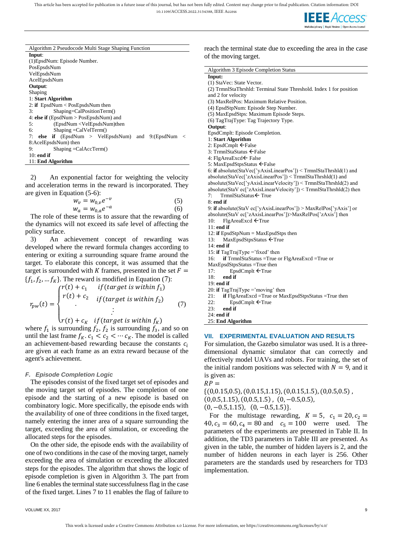This article has been accepted for publication in a future issue of this journal, but has not been fully edited. Content may change prior to final publication. Citation information: DOI

10.1109/ACCESS.2022.3154388, IEEE Access



| Algorithm 2 Pseudocode Multi Stage Shaping Function          |
|--------------------------------------------------------------|
| Input:                                                       |
| (1) EpsdNum: Episode Number.                                 |
| PosEpsdsNum                                                  |
| VelEpsdsNum                                                  |
| AcelEpsdsNum                                                 |
| Output:                                                      |
| Shaping                                                      |
| 1: Start Algorithm                                           |
| 2: if $EpsdNum < PosEpsdsNum$ then                           |
| Shaping=CalPositionTerm()<br>3:                              |
| 4: else if $(EngdNum > PosEpsdsNum)$ and                     |
| (EpsdNum <velepsdsnum)then<br>5:</velepsdsnum)then<br>       |
| $Shaping = CalVelTerm()$<br>6:                               |
| 7: else if (EpsdNum > VelEpsdsNum) and 9:(EpsdNum<br>$\,<\,$ |
| 8:AcelEpsdsNum) then                                         |
| $Shaping = CalAccTerm()$<br>9:                               |
| $10:$ end if                                                 |
| 11: End Algorithm                                            |

2) An exponential factor for weighting the velocity and acceleration terms in the reward is incorporated. They are given in Equation (5-6):

$$
w_v = w_{0,v}e^{-v}
$$
  
\n
$$
w_a = w_{0,a}e^{-a}
$$
 (5)  
\n(6)

The role of these terms is to assure that the rewarding of the dynamics will not exceed its safe level of affecting the policy surface.

3) An achievement concept of rewarding was developed where the reward formula changes according to entering or exiting a surrounding square frame around the target. To elaborate this concept, it was assumed that the target is surrounded with K frames, presented in the set  $F =$  $\{f_1, f_2, \dots, f_K\}$ . The reward is modified in Equation (7):

$$
r_{pw}(t) = \begin{cases} r(t) + c_1 & \text{if (target is within } f_1) \\ r(t) + c_2 & \text{if (target is within } f_2) \\ \vdots & \vdots \\ r(t) + c_K & \text{if (target is within } f_K) \end{cases} \tag{7}
$$

where  $f_1$  is surrounding  $f_2$ ,  $f_2$  is surrounding  $f_3$ , and so on until the last frame  $f_K$ .  $c_1 < c_2 < \cdots c_K$ . The model is called an achievement-based rewarding because the constants  $c_i$ are given at each frame as an extra reward because of the agent's achievement.

# *F. Episode Completion Logic*

The episodes consist of the fixed target set of episodes and the moving target set of episodes. The completion of one episode and the starting of a new episode is based on combinatory logic. More specifically, the episode ends with the availability of one of three conditions in the fixed target, namely entering the inner area of a square surrounding the target, exceeding the area of simulation, or exceeding the allocated steps for the episodes.

On the other side, the episode ends with the availability of one of two conditions in the case of the moving target, namely exceeding the area of simulation or exceeding the allocated steps for the episodes. The algorithm that shows the logic of episode completion is given in Algorithm 3. The part from line 6 enables the terminal state successfulness flag in the case of the fixed target. Lines 7 to 11 enables the flag of failure to

reach the terminal state due to exceeding the area in the case of the moving target.

| Algorithm 3 Episode Completion Status                                                        |
|----------------------------------------------------------------------------------------------|
| Input:                                                                                       |
| (1) StaVec: State Vector.                                                                    |
| (2) TrmnlStaThrshld: Terminal State Threshold. Index 1 for position                          |
| and 2 for velocity                                                                           |
| (3) MaxRelPos: Maximum Relative Position.                                                    |
| (4) EpsdStpNum: Episode Step Number.                                                         |
| (5) MaxEpsdStps: Maximum Episode Steps.                                                      |
| (6) TagTrajType: Tag Trajectory Type.                                                        |
| Output:                                                                                      |
| EpsdCmplt: Episode Completion.                                                               |
| 1: Start Algorithm                                                                           |
| 2: EpsdCmplt $\leftarrow$ False                                                              |
| 3: TrmnlStaStatus ← False                                                                    |
| 4: FlgAreaExcd ← False                                                                       |
| 5: MaxEpsdStpsStatus ←False                                                                  |
| 6: if absolute(StaVec['yAxisLinearPos']) < TrmnlStaThrshld(1) and                            |
| absolute(StaVec['zAxisLinearPos']) < TrmnlStaThrshld(1) and                                  |
| absolute(StaVec['yAxisLinearVelocity']) < TrmnlStaThrshld(2) and                             |
| absolute(StaV ec['zAxisLinearVelocity']) < TrmnlStaThrshld(2) then                           |
| TrmnlStaStatus ← True<br>7:                                                                  |
| 8: end if                                                                                    |
| 9: if absolute(StaV ec['yAxisLinearPos']) > MaxRelPos['yAxis'] or                            |
| absolute(StaV ec['zAxisLinearPos'])>MaxRelPos['zAxis'] then                                  |
| 10:<br>$FlagAreaExcd \leftarrow True$                                                        |
| $11:$ end if                                                                                 |
| 12: if $EpsdStpNum = MaxEpsdStps$ then                                                       |
| $MaxEpsdStpsStatus$ $\leftarrow$ True<br>13:                                                 |
| $14:$ end if                                                                                 |
| 15: if TagTrajType ='fixed' then                                                             |
| 16:<br><b>if</b> TrmnlStaStatus = True or FlgAreaExcd = True or                              |
| MaxEpsdStpsStatus =True then                                                                 |
| 17:<br>EpsdCmplt $\leftarrow$ True                                                           |
| 18:<br>end if                                                                                |
| 19: end if                                                                                   |
| 20: if TagTrajType = 'moving' then                                                           |
| 21:<br><b>if</b> $\text{FlagAreaExcd} = \text{True or MaxEpsdStpsStatus} = \text{True then}$ |
| 22:<br>$EpsdCmplt$ $\leftarrow$ True                                                         |
| 23:<br>end if                                                                                |
| $24:$ end if                                                                                 |
| 25: End Algorithm                                                                            |

#### **VII. EXPERIMENTAL EVALUATION AND RESULTS**

For simulation, the Gazebo simulator was used. It is a threedimensional dynamic simulator that can correctly and effectively model UAVs and robots. For training, the set of the initial random positions was selected with  $N = 9$ , and it is given as:

$$
RP =
$$

 $\{(0,0.15,0.5), (0,0.15,1.15), (0,0.15,1.5), (0,0.5,0.5),$  $(0,0.5,1.15), (0,0.5,1.5), (0,-0.5,0.5),$  $(0, -0.5, 1.15), (0, -0.5, 1.5)$ .

For the multistage rewarding,  $K = 5$ ,  $c_1 = 20$ ,  $c_2 =$ 40,  $c_3 = 60$ ,  $c_4 = 80$  and  $c_5 = 100$  werre used. The parameters of the experiments are presented in Table II. In addition, the TD3 parameters in Table III are presented. As given in the table, the number of hidden layers is 2, and the number of hidden neurons in each layer is 256. Other parameters are the standards used by researchers for TD3 implementation.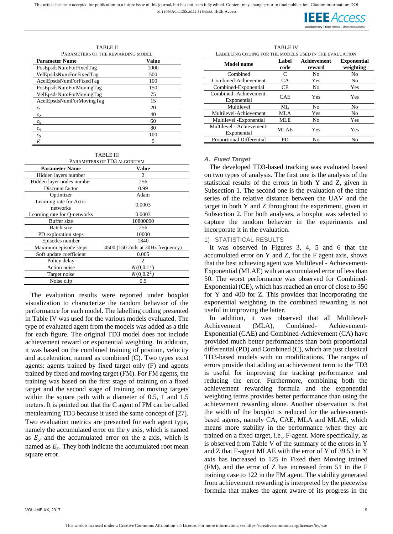**IEEE** Access

TABLE II

| PARAMETERS OF THE REWARDING MODEL |       |  |  |  |
|-----------------------------------|-------|--|--|--|
| <b>Parameter Name</b>             | Value |  |  |  |
| PosEpsdsNumForFixedTag            | 1000  |  |  |  |
| VelEpsdsNumForFixedTag            | 500   |  |  |  |
| AcelEpsdsNumForFixedTag           | 100   |  |  |  |
| PosEpsdsNumForMovingTag           | 150   |  |  |  |
| VelEpsdsNumForMovingTag           | 75    |  |  |  |
| AcelEpsdsNumForMovingTag          | 15    |  |  |  |
|                                   | 20    |  |  |  |
| c <sub>2</sub>                    | 40    |  |  |  |
| $c_3$                             | 60    |  |  |  |
| $c_{4}$                           | 80    |  |  |  |
| $c_{5}$                           | 100   |  |  |  |
|                                   | 5     |  |  |  |

| <b>TABLE III</b> |       |
|------------------|-------|
|                  | ----- |

| PARAMETERS OF TD3 ALGORITHM         |              |  |  |  |
|-------------------------------------|--------------|--|--|--|
| <b>Parameter Name</b>               | <b>Value</b> |  |  |  |
| Hidden layers number                | 2            |  |  |  |
| Hidden layer nodes number           | 256          |  |  |  |
| Discount factor                     | 0.99         |  |  |  |
| Optimizer                           | Adam         |  |  |  |
| Learning rate for Actor<br>networks | 0.0003       |  |  |  |
| earning rate for Q-networks         | 0.0003       |  |  |  |
| <b>Buffer</b> size                  | 10800000     |  |  |  |

PARAMETERS OF TD3 ALGORITHM

| Learning rate for Actor<br>networks | 0.0003                            |
|-------------------------------------|-----------------------------------|
| Learning rate for Q-networks        | 0.0003                            |
| Buffer size                         | 10800000                          |
| Batch size                          | 256                               |
| PD exploration steps                | 10000                             |
| Episodes number                     | 1840                              |
| Maximum episode steps               | 4500 (150 2nds at 30Hz frequency) |
| Soft update coefficient             | 0.005                             |
| Policy delay                        | $\mathcal{D}_{\mathcal{L}}$       |
| Action noise                        | $N(0,0.1^2)$                      |
| Target noise                        | $N(0,0.2^2)$                      |
| Noise clip                          | 0.5                               |

The evaluation results were reported under boxplot visualization to characterize the random behavior of the performance for each model. The labelling coding presented in Table IV was used for the various models evaluated. The type of evaluated agent from the models was added as a title for each figure. The original TD3 model does not include achievement reward or exponential weighting. In addition, it was based on the combined training of position, velocity and acceleration, named as combined (C). Two types exist agents: agents trained by fixed target only (F) and agents trained by fixed and moving target (FM). For FM agents, the training was based on the first stage of training on a fixed target and the second stage of training on moving targets within the square path with a diameter of 0.5, 1 and 1.5 meters. It is pointed out that the C agent of FM can be called metalearning TD3 because it used the same concept of [27]. Two evaluation metrics are presented for each agent type, namely the accumulated error on the y axis, which is named as  $E_v$  and the accumulated error on the z axis, which is named as  $E_z$ . They both indicate the accumulated root mean square error.

TABLE IV LABELLING CODING FOR THE MODELS USED IN THE EVALUATION **Achievement** 

| Model name                               | Label<br>code | Achievement<br>reward | <b>Exponential</b><br>weighting |
|------------------------------------------|---------------|-----------------------|---------------------------------|
| Combined                                 | C             | No                    | No                              |
| Combined-Achievement                     | <b>CA</b>     | Yes                   | No                              |
| Combined-Exponential                     | CE            | No                    | Yes                             |
| Combined-Achievement-<br>Exponential     | <b>CAE</b>    | Yes                   | Yes                             |
| Multilevel                               | ML.           | No.                   | No                              |
| Multilevel-Achievement                   | MLA           | Yes                   | No                              |
| Multilevel -Exponential                  | MLE           | No                    | Yes                             |
| Multilevel - Achievement-<br>Exponential | MLAE          | Yes                   | Yes                             |
| Proportional Differential                | PD            | No                    | N <sub>0</sub>                  |

# *A. Fixed Target*

The developed TD3-based tracking was evaluated based on two types of analysis. The first one is the analysis of the statistical results of the errors in both Y and Z, given in Subsection 1. The second one is the evaluation of the time series of the relative distance between the UAV and the target in both Y and Z throughout the experiment, given in Subsection 2. For both analyses, a boxplot was selected to capture the random behavior in the experiments and incorporate it in the evaluation.

# 1) STATISTICAL RESULTS

It was observed in Figures 3, 4, 5 and 6 that the accumulated error on Y and Z, for the F agent axis, shows that the best achieving agent was Multilevel - Achievement-Exponential (MLAE) with an accumulated error of less than 50. The worst performance was observed for Combined-Exponential (CE), which has reached an error of close to 350 for Y and 400 for Z. This provides that incorporating the exponential weighting in the combined rewarding is not useful in improving the latter.

In addition, it was observed that all Multilevel-Achievement (MLA), Combined- Achievement-Exponential (CAE) and Combined-Achievement (CA) have provided much better performances than both proportional differential (PD) and Combined (C), which are just classical TD3-based models with no modifications. The ranges of errors provide that adding an achievement term to the TD3 is useful for improving the tracking performance and reducing the error. Furthermore, combining both the achievement rewarding formula and the exponential weighting terms provides better performance than using the achievement rewarding alone. Another observation is that the width of the boxplot is reduced for the achievementbased agents, namely CA, CAE, MLA and MLAE, which means more stability in the performance when they are trained on a fixed target, i.e., F-agent. More specifically, as is observed from Table V of the summary of the errors in Y and Z that F-agent MLAE with the error of Y of 39.53 in Y axis has increased to 125 in Fixed then Moving trained (FM), and the error of Z has increased from 51 in the F training case to 122 in the FM agent. The stability generated from achievement rewarding is interpreted by the piecewise formula that makes the agent aware of its progress in the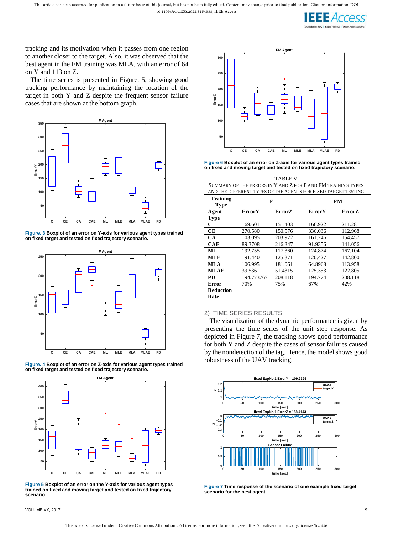**IFFFACCes** 

tracking and its motivation when it passes from one region to another closer to the target. Also, it was observed that the best agent in the FM training was MLA, with an error of 64 on Y and 113 on Z.

The time series is presented in Figure. 5, showing good tracking performance by maintaining the location of the target in both Y and Z despite the frequent sensor failure cases that are shown at the bottom graph.



**Figure. 3 Boxplot of an error on Y-axis for various agent types trained on fixed target and tested on fixed trajectory scenario.**







**Figure 5 Boxplot of an error on the Y-axis for various agent types trained on fixed and moving target and tested on fixed trajectory scenario.**



**Figure 6 Boxplot of an error on Z-axis for various agent types trained on fixed and moving target and tested on fixed trajectory scenario.**

TABLE V SUMMARY OF THE ERRORS IN Y AND Z FOR F AND FM TRAINING TYPES AND THE DIFFERENT TYPES OF THE AGENTS FOR FIXED TARGET TESTING

| <b>Training</b><br><b>Type</b> |               | F             |               | FM      |
|--------------------------------|---------------|---------------|---------------|---------|
| Agent                          | <b>ErrorY</b> | <b>ErrorZ</b> | <b>ErrorY</b> | ErrorZ  |
| Type                           |               |               |               |         |
| C                              | 169.601       | 151.403       | 166.922       | 211.281 |
| CЕ                             | 270.580       | 150.576       | 336.036       | 112.968 |
| <b>CA</b>                      | 103.095       | 203.972       | 161.246       | 154.457 |
| <b>CAE</b>                     | 89.3708       | 216.347       | 91.9356       | 141.056 |
| ML                             | 192.755       | 117.360       | 124.874       | 167.104 |
| MLE                            | 191.440       | 125.371       | 120.427       | 142.800 |
| <b>MLA</b>                     | 106.995       | 181.061       | 64.8968       | 113.958 |
| <b>MLAE</b>                    | 39.536        | 51.4315       | 125.353       | 122.805 |
| <b>PD</b>                      | 194.773767    | 208.118       | 194.774       | 208.118 |
| Error                          | 70%           | 75%           | 67%           | 42%     |
| Reduction                      |               |               |               |         |
| Rate                           |               |               |               |         |

# 2) TIME SERIES RESULTS

The visualization of the dynamic performance is given by presenting the time series of the unit step response. As depicted in Figure 7, the tracking shows good performance for both Y and Z despite the cases of sensor failures caused by the nondetection of the tag. Hence, the model shows good robustness of the UAV tracking.



**Figure 7 Time response of the scenario of one example fixed target scenario for the best agent.**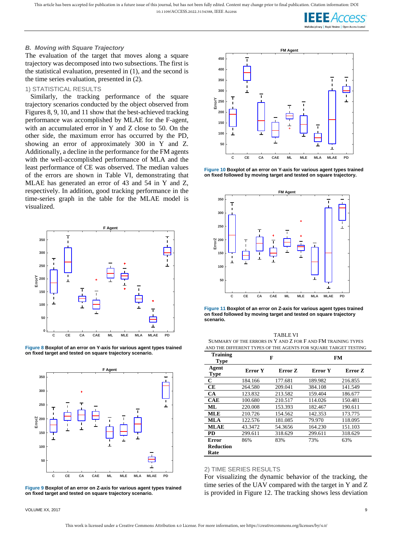This article has been accepted for publication in a future issue of this journal, but has not been fully edited. Content may change prior to final publication. Citation information: DOI 10.1109/ACCESS.2022.3154388, IEEE Access

#### *B. Moving with Square Trajectory*

The evaluation of the target that moves along a square trajectory was decomposed into two subsections. The first is the statistical evaluation, presented in (1), and the second is the time series evaluation, presented in (2).

#### 1) STATISTICAL RESULTS

Similarly, the tracking performance of the square trajectory scenarios conducted by the object observed from Figures 8, 9, 10, and 11 show that the best-achieved tracking performance was accomplished by MLAE for the F-agent, with an accumulated error in Y and Z close to 50. On the other side, the maximum error has occurred by the PD, showing an error of approximately 300 in Y and Z. Additionally, a decline in the performance for the FM agents with the well-accomplished performance of MLA and the least performance of CE was observed. The median values of the errors are shown in Table VI, demonstrating that MLAE has generated an error of 43 and 54 in Y and Z, respectively. In addition, good tracking performance in the time-series graph in the table for the MLAE model is visualized.







**Figure 9 Boxplot of an error on Z-axis for various agent types trained on fixed target and tested on square trajectory scenario.**



**Figure 10 Boxplot of an error on Y-axis for various agent types trained on fixed followed by moving target and tested on square trajectory.**



**Figure 11 Boxplot of an error on Z-axis for various agent types trained on fixed followed by moving target and tested on square trajectory scenario.**

TABLE VI SUMMARY OF THE ERRORS IN Y AND Z FOR F AND FM TRAINING TYPES AND THE DIFFERENT TYPES OF THE AGENTS FOR SQUARE TARGET TESTING

| <b>Training</b><br><b>Type</b> |         | F       |         | FM      |
|--------------------------------|---------|---------|---------|---------|
| Agent<br><b>Type</b>           | Error Y | Error Z | Error Y | Error Z |
| $\mathbf C$                    | 184.166 | 177.681 | 189.982 | 216.855 |
| CЕ                             | 264.580 | 209.041 | 384.108 | 141.549 |
| CA                             | 123.832 | 213.582 | 159.404 | 186.677 |
| <b>CAE</b>                     | 100.680 | 210.517 | 114.026 | 150.481 |
| ML                             | 220.008 | 153.393 | 182.467 | 190.611 |
| <b>MLE</b>                     | 210.726 | 154.562 | 142.353 | 173.775 |
| <b>MLA</b>                     | 122.576 | 181.085 | 79.970  | 118.095 |
| MLAE                           | 43.3472 | 54.3656 | 164.230 | 151.103 |
| PD                             | 299.611 | 318.629 | 299.611 | 318.629 |
| Error                          | 86%     | 83%     | 73%     | 63%     |
| Reduction<br>Rate              |         |         |         |         |

#### 2) TIME SERIES RESULTS

For visualizing the dynamic behavior of the tracking, the time series of the UAV compared with the target in Y and Z is provided in Figure 12. The tracking shows less deviation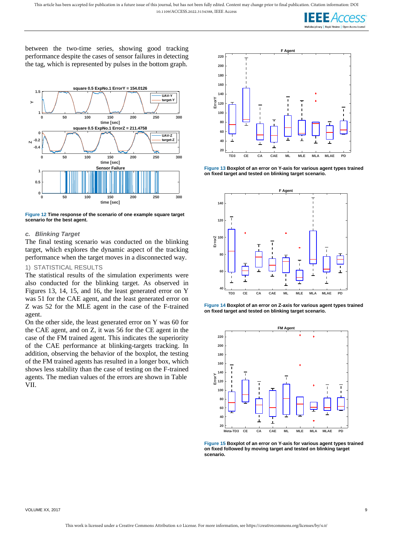

between the two-time series, showing good tracking performance despite the cases of sensor failures in detecting the tag, which is represented by pulses in the bottom graph.



**Figure 12 Time response of the scenario of one example square target scenario for the best agent.**

# *c. Blinking Target*

The final testing scenario was conducted on the blinking target, which explores the dynamic aspect of the tracking performance when the target moves in a disconnected way.

# 1) STATISTICAL RESULTS

The statistical results of the simulation experiments were also conducted for the blinking target. As observed in Figures 13, 14, 15, and 16, the least generated error on Y was 51 for the CAE agent, and the least generated error on Z was 52 for the MLE agent in the case of the F-trained agent.

On the other side, the least generated error on Y was 60 for the CAE agent, and on Z, it was 56 for the CE agent in the case of the FM trained agent. This indicates the superiority of the CAE performance at blinking-targets tracking. In addition, observing the behavior of the boxplot, the testing of the FM trained agents has resulted in a longer box, which shows less stability than the case of testing on the F-trained agents. The median values of the errors are shown in Table VII.



**Figure 13 Boxplot of an error on Y-axis for various agent types trained on fixed target and tested on blinking target scenario.**







**Figure 15 Boxplot of an error on Y-axis for various agent types trained on fixed followed by moving target and tested on blinking target scenario.**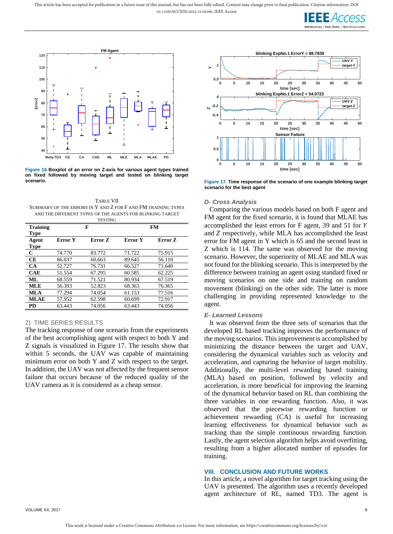



**Figure 16 Boxplot of an error on Z-axis for various agent types trained on fixed followed by moving target and tested on blinking target scenario.**

TABLE VII SUMMARY OF THE ERRORS IN Y AND Z FOR F AND FM TRAINING TYPES AND THE DIFFERENT TYPES OF THE AGENTS FOR BLINKING TARGET TESTING

|             |         | 1 LO 1 11 YU |                |         |  |
|-------------|---------|--------------|----------------|---------|--|
| Training    | F       |              | FМ             |         |  |
| Type        |         |              |                |         |  |
| Agent       | Error Y | Error Z      | <b>Error</b> Y | Error Z |  |
| Type        |         |              |                |         |  |
| C           | 74.770  | 83.772       | 71.722         | 75.915  |  |
| CЕ          | 86.037  | 60.663       | 89.645         | 56.110  |  |
| CA.         | 52.727  | 76.731       | 66.527         | 71.640  |  |
| <b>CAE</b>  | 51.554  | 67.295       | 60.585         | 62.225  |  |
| ML          | 68.559  | 71.521       | 80.934         | 67.519  |  |
| <b>MLE</b>  | 56.393  | 52.823       | 68.363         | 76.365  |  |
| MLA         | 77.294  | 74.054       | 61.153         | 77.516  |  |
| <b>MLAE</b> | 57.952  | 62.598       | 60.699         | 72.917  |  |
| <b>PD</b>   | 63.443  | 74.056       | 63.443         | 74.056  |  |
|             |         |              |                |         |  |

#### 2) TIME SERIES RESULTS

The tracking response of one scenario from the experiments of the best accomplishing agent with respect to both Y and Z signals is visualized in Figure 17. The results show that within 5 seconds, the UAV was capable of maintaining minimum error on both Y and Z with respect to the target. In addition, the UAV was not affected by the frequent sensor failure that occurs because of the reduced quality of the UAV camera as it is considered as a cheap sensor.



**Figure 17. Time response of the scenario of one example blinking target scenario for the best agent**

#### *D- Cross Analysis*

Comparing the various models based on both F agent and FM agent for the fixed scenario, it is found that MLAE has accomplished the least errors for F agent, 39 and 51 for and *Z* respectively, while MLA has accomplished the least error for FM agent in Y which is 65 and the second least in Z which is 114. The same was observed for the moving scenario. However, the superiority of MLAE and MLA was not found for the blinking scenario. This is interpreted by the difference between training an agent using standard fixed or moving scenarios on one side and training on random movement (blinking) on the other side. The latter is more challenging in providing represented knowledge to the agent.

#### *E- Learned Lessons*

It was observed from the three sets of scenarios that the developed RL based tracking improves the performance of the moving scenarios. This improvement is accomplished by minimizing the distance between the target and UAV, considering the dynamical variables such as velocity and acceleration, and capturing the behavior of target mobility. Additionally, the multi-level rewarding based training (MLA) based on position, followed by velocity and acceleration, is more beneficial for improving the learning of the dynamical behavior based on RL than combining the three variables in one rewarding function. Also, it was observed that the piecewise rewarding function or achievement rewaeding (CA) is useful for increasing learning effectiveness for dynamical behavior such as tracking than the simple continuous rewarding function. Lastly, the agent selection algorithm helps avoid overfitting, resulting from a higher allocated number of episodes for training.

#### **VIII. CONCLUSION AND FUTURE WORKS**

In this article, a novel algorithm for target tracking using the UAV is presented. The algorithm uses a recently developed agent architecture of RL, named TD3. The agent is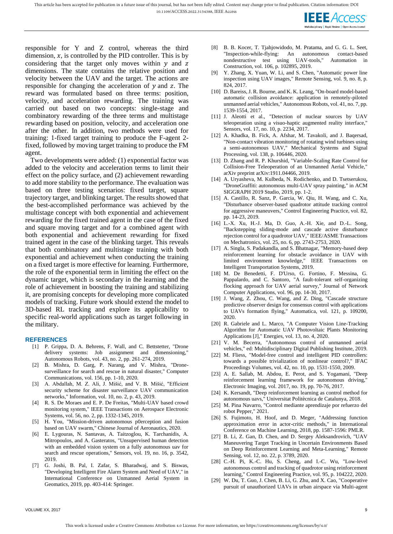

responsible for Y and Z control, whereas the third dimension,  $x$ , is controlled by the PID controller. This is by considering that the target only moves within  $y$  and  $z$ dimensions. The state contains the relative position and velocity between the UAV and the target. The actions are responsible for changing the acceleration of  $y$  and  $z$ . The reward was formulated based on three terms: position, velocity, and acceleration rewarding. The training was carried out based on two concepts: single-stage and combinatory rewarding of the three terms and multistage rewarding based on position, velocity, and acceleration one after the other. In addition, two methods were used for training: 1-fixed target training to produce the F-agent 2 fixed, followed by moving target training to produce the FM agent.

Two developments were added: (1) exponential factor was added to the velocity and acceleration terms to limit their effect on the policy surface, and (2) achievement rewarding to add more stability to the performance. The evaluation was based on three testing scenarios: fixed target, square trajectory target, and blinking target. The results showed that the best-accomplished performance was achieved by the multistage concept with both exponential and achievement rewarding for the fixed trained agent in the case of the fixed and square moving target and for a combined agent with both exponential and achievement rewarding for fixed trained agent in the case of the blinking target. This reveals that both combinatory and multistage training with both exponential and achievement when conducting the training on a fixed target is more effective for learning. Furthermore, the role of the exponential term in limiting the effect on the dynamic target, which is secondary in the learning and the role of achievement in boosting the training and stabilizing it, are promising concepts for developing more complicated models of tracking. Future work should extend the model to 3D-based RL tracking and explore its applicability to specific real-world applications such as target following in the military.

#### **REFERENCES**

- [1] P. Grippa, D. A. Behrens, F. Wall, and C. Bettstetter, "Drone delivery systems: Job assignment and dimensioning," Autonomous Robots, vol. 43, no. 2, pp. 261-274, 2019.
- [2] B. Mishra, D. Garg, P. Narang, and V. Mishra, "Dronesurveillance for search and rescue in natural disaster," Computer Communications, vol. 156, pp. 1-10, 2020.
- [3] A. Abdallah, M. Z. Ali, J. Mišić, and V. B. Mišić, "Efficient security scheme for disaster surveillance UAV communication networks," Information, vol. 10, no. 2, p. 43, 2019.
- [4] R. S. De Moraes and E. P. De Freitas, "Multi-UAV based crowd monitoring system," IEEE Transactions on Aerospace Electronic Systems, vol. 56, no. 2, pp. 1332-1345, 2019.
- [5] H. You, "Mission-driven autonomous p0erception and fusion based on UAV swarm," Chinese Journal of Aeronautics, 2020.
- [6] E. Lygouras, N. Santavas, A. Taitzoglou, K. Tarchanidis, A. Mitropoulos, and A. Gasteratos, "Unsupervised human detection with an embedded vision system on a fully autonomous uav for search and rescue operations," Sensors, vol. 19, no. 16, p. 3542, 2019.
- [7] G. Joshi, B. Pal, I. Zafar, S. Bharadwaj, and S. Biswas, "Developing Intelligent Fire Alarm System and Need of UAV," in International Conference on Unmanned Aerial System in Geomatics, 2019, pp. 403-414: Springer.
- [8] B. B. Kocer, T. Tjahjowidodo, M. Pratama, and G. G. L. Seet, "Inspection-while-flying: An autonomous contact-based nondestructive test using UAV-tools," Automation in Construction, vol. 106, p. 102895, 2019.
- [9] Y. Zhang, X. Yuan, W. Li, and S. Chen, "Automatic power line inspection using UAV images," Remote Sensing, vol. 9, no. 8, p. 824, 2017.
- [10] D. Bareiss, J. R. Bourne, and K. K. Leang, "On-board model-based automatic collision avoidance: application in remotely-piloted unmanned aerial vehicles," Autonomous Robots, vol. 41, no. 7, pp. 1539-1554, 2017.
- [11] J. Aleotti et al., "Detection of nuclear sources by UAV teleoperation using a visuo-haptic augmented reality interface," Sensors, vol. 17, no. 10, p. 2234, 2017.
- [12] A. Khadka, B. Fick, A. Afshar, M. Tavakoli, and J. Baqersad, "Non-contact vibration monitoring of rotating wind turbines using a semi-autonomous UAV," Mechanical Systems and Signal Processing, vol. 138, p. 106446, 2020.
- [13] D. Zhang and R. P. Khurshid, "Variable-Scaling Rate Control for Collision-Free Teleoperation of an Unmanned Aerial Vehicle," arXiv preprint arXiv:1911.04466, 2019.
- [14] A. Uryasheva, M. Kulbeda, N. Rodichenko, and D. Tsetserukou, "DroneGraffiti: autonomous multi-UAV spray painting," in ACM SIGGRAPH 2019 Studio, 2019, pp. 1-2.
- [15] A. Castillo, R. Sanz, P. Garcia, W. Qiu, H. Wang, and C. Xu, "Disturbance observer-based quadrotor attitude tracking control for aggressive maneuvers," Control Engineering Practice, vol. 82, pp. 14-23, 2019.
- [16] L.-X. Xu, H.-J. Ma, D. Guo, A.-H. Xie, and D.-L. Song, "Backstepping sliding-mode and cascade active disturbance rejection control for a quadrotor UAV," IEEE/ASME Transactions on Mechatronics, vol. 25, no. 6, pp. 2743-2753, 2020.
- [17] A. Singla, S. Padakandla, and S. Bhatnagar, "Memory-based deep reinforcement learning for obstacle avoidance in UAV with limited environment knowledge," IEEE Transactions on Intelligent Transportation Systems, 2019.
- [18] M. De Benedetti, F. D'Urso, G. Fortino, F. Messina, G. Pappalardo, and C. Santoro, "A fault-tolerant self-organizing flocking approach for UAV aerial survey," Journal of Network Computer Applications, vol. 96, pp. 14-30, 2017.
- [19] J. Wang, Z. Zhou, C. Wang, and Z. Ding, "Cascade structure predictive observer design for consensus control with applications to UAVs formation flying," Automatica, vol. 121, p. 109200, 2020.
- [20] R. Gabriele and L. Marco, "A Computer Vision Line-Tracking Algorithm for Automatic UAV Photovoltaic Plants Monitoring Applications [J]," Energies, vol. 13, no. 4, 2020.
- [21] V. M. Becerra, "Autonomous control of unmanned aerial vehicles," ed: Multidisciplinary Digital Publishing Institute, 2019.
- [22] M. Fliess, "Model-free control and intelligent PID controllers: towards a possible trivialization of nonlinear control?," IFAC Proceedings Volumes, vol. 42, no. 10, pp. 1531-1550, 2009.
- [23] A. E. Sallab, M. Abdou, E. Perot, and S. Yogamani, "Deep reinforcement learning framework for autonomous driving," Electronic Imaging, vol. 2017, no. 19, pp. 70-76, 2017.
- [24] K. Kersandt, "Deep reinforcement learning as control method for autonomous uavs," Universitat Politècnica de Catalunya, 2018.
- [25] M. Pina Navarro, "Control mediante aprendizaje por refuerzo del robot Pepper," 2021.
- [26] S. Fujimoto, H. Hoof, and D. Meger, "Addressing function approximation error in actor-critic methods," in International Conference on Machine Learning, 2018, pp. 1587-1596: PMLR.
- [27] B. Li, Z. Gan, D. Chen, and D. Sergey Aleksandrovich, "UAV Maneuvering Target Tracking in Uncertain Environments Based on Deep Reinforcement Learning and Meta-Learning," Remote Sensing, vol. 12, no. 22, p. 3789, 2020.
- [28] C.-H. Pi, K.-C. Hu, S. Cheng, and I.-C. Wu, "Low-level autonomous control and tracking of quadrotor using reinforcement learning," Control Engineering Practice, vol. 95, p. 104222, 2020.
- [29] W. Du, T. Guo, J. Chen, B. Li, G. Zhu, and X. Cao, "Cooperative pursuit of unauthorized UAVs in urban airspace via Multi-agent